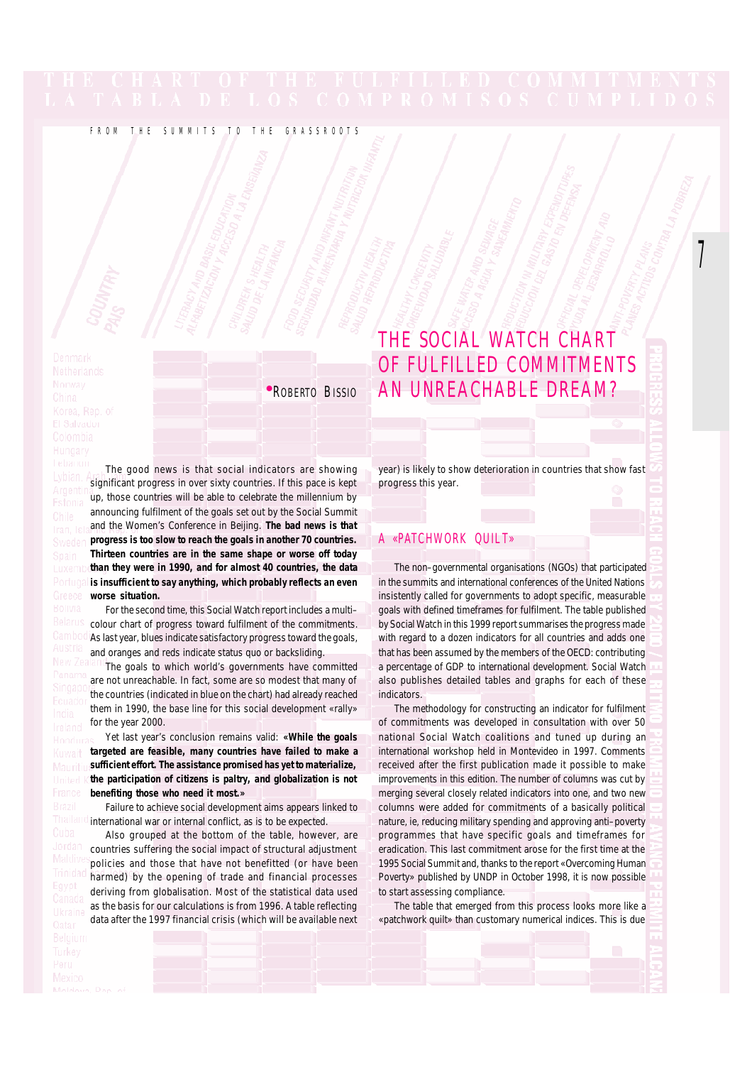# FROM THE SUMMITS TO THE GRASSROOTS

# THE SOCIAL WATCH CHART OF FULFILLED COMMITMENTS **\*ROBERTO BISSIO AN UNREACHABLE DREAM?**

 $\overline{1}$ 

The good news is that social indicators are showing significant progress in over sixty countries. If this pace is kept up, those countries will be able to celebrate the millennium by announcing fulfilment of the goals set out by the Social Summit and the Women's Conference in Beijing. **The bad news is that progress is too slow to reach the goals in another 70 countries. Thirteen countries are in the same shape or worse off today than they were in 1990, and for almost 40 countries, the data is insufficient to say anything, which probably reflects an even worse situation.**

For the second time, this Social Watch report includes a multi– colour chart of progress toward fulfilment of the commitments. As last year, blues indicate satisfactory progress toward the goals, and oranges and reds indicate status quo or backsliding.

The goals to which world's governments have committed are not unreachable. In fact, some are so modest that many of the countries (indicated in blue on the chart) had already reached them in 1990, the base line for this social development «rally» for the year 2000.

Yet last year's conclusion remains valid: **«While the goals targeted are feasible, many countries have failed to make a sufficient effort. The assistance promised has yet to materialize, the participation of citizens is paltry, and globalization is not benefiting those who need it most.»**

Failure to achieve social development aims appears linked to international war or internal conflict, as is to be expected.

Also grouped at the bottom of the table, however, are countries suffering the social impact of structural adjustment policies and those that have not benefitted (or have been harmed) by the opening of trade and financial processes deriving from globalisation. Most of the statistical data used as the basis for our calculations is from 1996. A table reflecting data after the 1997 financial crisis (which will be available next year) is likely to show deterioration in countries that show fast progress this year.

# A «PATCHWORK QUILT»

The non–governmental organisations (NGOs) that participated in the summits and international conferences of the United Nations insistently called for governments to adopt specific, measurable goals with defined timeframes for fulfilment. The table published by Social Watch in this 1999 report summarises the progress made with regard to a dozen indicators for all countries and adds one that has been assumed by the members of the OECD: contributing a percentage of GDP to international development. Social Watch also publishes detailed tables and graphs for each of these **indicators** 

The methodology for constructing an indicator for fulfilment of commitments was developed in consultation with over 50 national Social Watch coalitions and tuned up during an international workshop held in Montevideo in 1997. Comments received after the first publication made it possible to make improvements in this edition. The number of columns was cut by merging several closely related indicators into one, and two new columns were added for commitments of a basically political nature, ie, reducing military spending and approving anti–poverty programmes that have specific goals and timeframes for eradication. This last commitment arose for the first time at the 1995 Social Summit and, thanks to the report «Overcoming Human Poverty» published by UNDP in October 1998, it is now possible to start assessing compliance.

The table that emerged from this process looks more like a «patchwork quilt» than customary numerical indices. This is due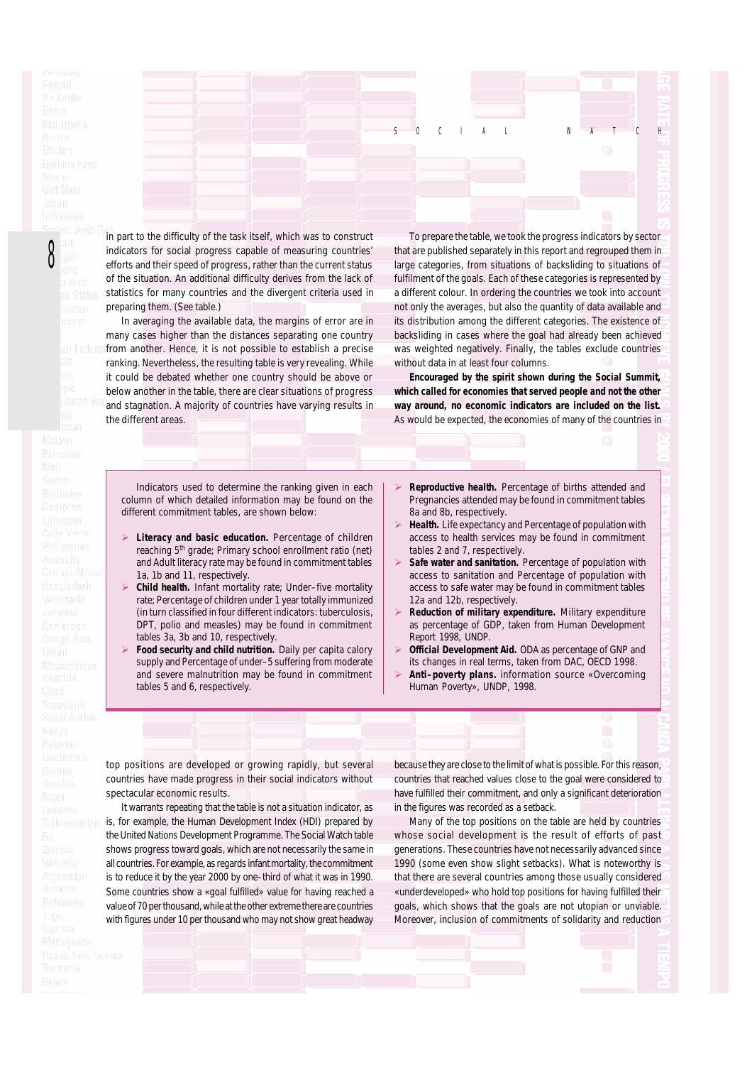8

in part to the difficulty of the task itself, which was to construct indicators for social progress capable of measuring countries' efforts and their speed of progress, rather than the current status of the situation. An additional difficulty derives from the lack of statistics for many countries and the divergent criteria used in preparing them. (See table.)

In averaging the available data, the margins of error are in many cases higher than the distances separating one country In Federa from another. Hence, it is not possible to establish a precise ranking. Nevertheless, the resulting table is very revealing. While it could be debated whether one country should be above or below another in the table, there are clear situations of progress and stagnation. A majority of countries have varying results in the different areas.

To prepare the table, we took the progress indicators by sector that are published separately in this report and regrouped them in large categories, from situations of backsliding to situations of fulfilment of the goals. Each of these categories is represented by a different colour. In ordering the countries we took into account not only the averages, but also the quantity of data available and its distribution among the different categories. The existence of backsliding in cases where the goal had already been achieved was weighted negatively. Finally, the tables exclude countries without data in at least four columns.

S O C I A L W A T C H

**Encouraged by the spirit shown during the Social Summit, which called for economies that served people and not the other way around, no economic indicators are included on the list.** As would be expected, the economies of many of the countries in

Indicators used to determine the ranking given in each column of which detailed information may be found on the different commitment tables, are shown below:

- Literacy and basic education. Percentage of children reaching 5th grade; Primary school enrollment ratio (net) and Adult literacy rate may be found in commitment tables 1a, 1b and 11, respectively.
- Child health. Infant mortality rate; Under-five mortality rate; Percentage of children under 1 year totally immunized (in turn classified in four different indicators: tuberculosis, DPT, polio and measles) may be found in commitment tables 3a, 3b and 10, respectively.
- **Food security and child nutrition.** Daily per capita calory supply and Percentage of under–5 suffering from moderate and severe malnutrition may be found in commitment tables 5 and 6, respectively.
- **Exeproductive health.** Percentage of births attended and Pregnancies attended may be found in commitment tables 8a and 8b, respectively.
- **Health.** Life expectancy and Percentage of population with access to health services may be found in commitment tables 2 and 7, respectively.
- Safe water and sanitation. Percentage of population with access to sanitation and Percentage of population with access to safe water may be found in commitment tables 12a and 12b, respectively.
- **Reduction of military expenditure.** Military expenditure as percentage of GDP, taken from Human Development Report 1998, UNDP.
- **Official Development Aid.** ODA as percentage of GNP and its changes in real terms, taken from DAC, OECD 1998.
- **Anti-poverty plans.** information source «Overcoming Human Poverty», UNDP, 1998.

top positions are developed or growing rapidly, but several countries have made progress in their social indicators without spectacular economic results.

It warrants repeating that the table is not a situation indicator, as is, for example, the Human Development Index (HDI) prepared by the United Nations Development Programme. The Social Watch table shows progress toward goals, which are not necessarily the same in all countries. For example, as regards infant mortality, the commitment is to reduce it by the year 2000 by one–third of what it was in 1990. Some countries show a «goal fulfilled» value for having reached a value of 70 per thousand, while at the other extreme there are countries with figures under 10 per thousand who may not show great headway because they are close to the limit of what is possible. For this reason, countries that reached values close to the goal were considered to have fulfilled their commitment, and only a significant deterioration in the figures was recorded as a setback.

Many of the top positions on the table are held by countries whose social development is the result of efforts of past generations. These countries have not necessarily advanced since 1990 (some even show slight setbacks). What is noteworthy is that there are several countries among those usually considered «underdeveloped» who hold top positions for having fulfilled their goals, which shows that the goals are not utopian or unviable. Moreover, inclusion of commitments of solidarity and reduction